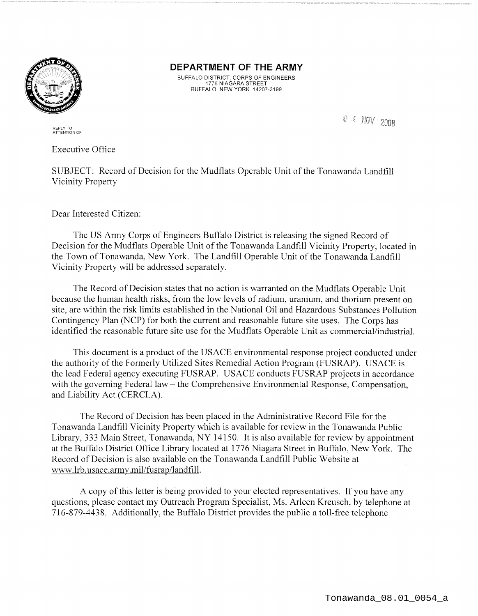

**DEPARTMENT OF THE ARMY** 

BUFFALO DISTRICT, CORPS OF ENGINEERS 1776 NIAGARA STREET BUFFALO, NEW YORK 14207-3199

0 4 NOV 2008

REPLY TO ATTENTION OF

Executive Office

SUBJECT: Record of Decision for the Mudflats Operable Unit of the Tonawanda Landfill Vicinity Property

Dear Interested Citizen:

The US Army Corps of Engineers Buffalo District is releasing the signed Record of Decision for the Mudflats Operable Unit of the Tonawanda Landfill Vicinity Property, located in the Town of Tonawanda, New York. The Landfill Operable Unit of the Tonawanda Landfill Vicinity Property will be addressed separately.

The Record of Decision states that no action is warranted on the Mudflats Operable Unit because the human health risks, from the low levels of radium, uranium, and thorium present on site, are within the risk limits established in the National Oil and Hazardous Substances Pollution Contingency Plan (NCP) for both the current and reasonable future site uses. The Corps has identified the reasonable future site use for the Mudflats Operable Unit as commercial/industrial.

This document is a product of the USACE environmental response project conducted under the authority of the Formerly Utilized Sites Remedial Action Program (FUSRAP). USACE is the lead Federal agency executing FUSRAP. USACE conducts FUSRAP projects in accordance with the governing Federal law – the Comprehensive Environmental Response, Compensation, and Liability Act (CERCLA).

The Record of Decision has been placed in the Administrative Record File for the Tonawanda Landfill Vicinity Property which is available for review in the Tonawanda Public Library, 333 Main Street, Tonawanda, NY 14150. It is also available for review by appointment at the Buffalo District Office Library located at 1776 Niagara Street in Buffalo, New York. The Record of Decision is also available on the Tonawanda Landfill Public Website at vvww .lrb. usace.arm y .mil/fusrap/landfill.

A copy of this letter is being provided to your elected representatives. If you have any questions, please contact my Outreach Program Specialist, Ms. Arleen Kreusch, by telephone at 716-879-4438. Additionally, the Buffalo District provides the public a toll-free telephone